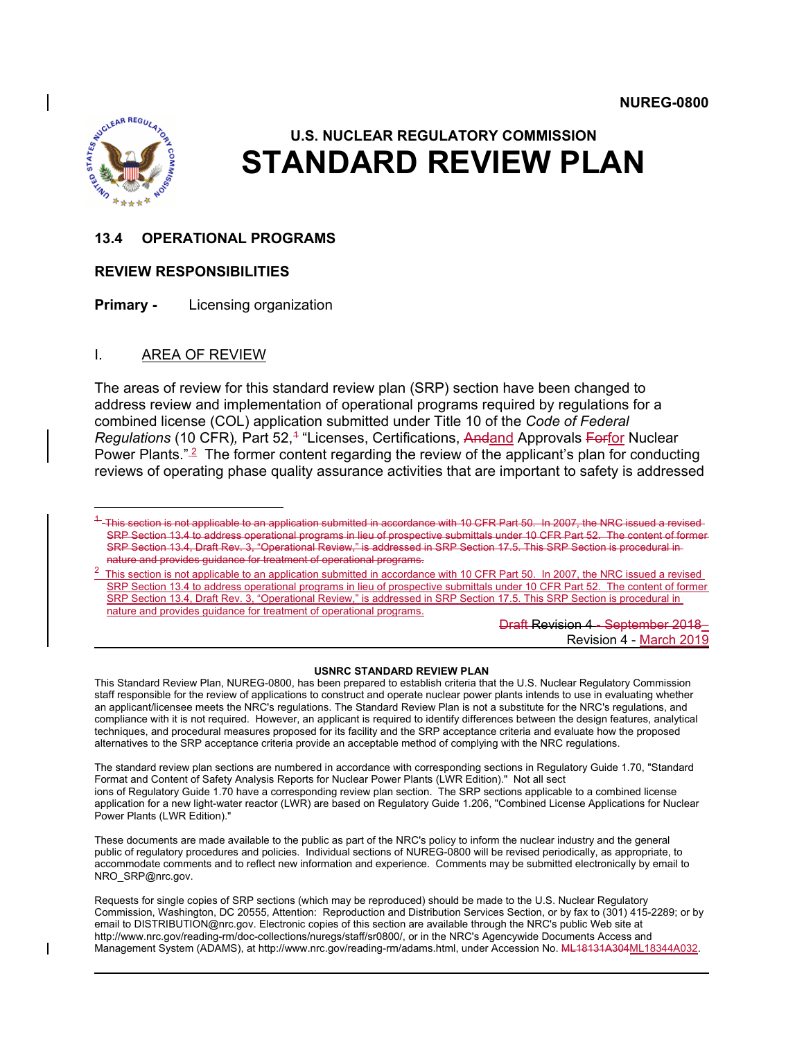

 $\overline{a}$ 

# **U.S. NUCLEAR REGULATORY COMMISSION STANDARD REVIEW PLAN**

### **13.4 OPERATIONAL PROGRAMS**

### **REVIEW RESPONSIBILITIES**

**Primary -** Licensing organization

### I. AREA OF REVIEW

The areas of review for this standard review plan (SRP) section have been changed to address review and implementation of operational programs required by regulations for a combined license (COL) application submitted under Title 10 of the *Code of Federal Regulations* ([1](#page-0-0)0 CFR), Part 52,<sup>4</sup> "Licenses, Certifications, Andand Approvals Forfor Nuclear Power Plants."<sup>[2](#page-0-1)</sup> The former content regarding the review of the applicant's plan for conducting reviews of operating phase quality assurance activities that are important to safety is addressed

Draft Revision 4 - September 2018– Revision 4 - March 2019

#### **USNRC STANDARD REVIEW PLAN**

This Standard Review Plan, NUREG-0800, has been prepared to establish criteria that the U.S. Nuclear Regulatory Commission staff responsible for the review of applications to construct and operate nuclear power plants intends to use in evaluating whether an applicant/licensee meets the NRC's regulations. The Standard Review Plan is not a substitute for the NRC's regulations, and compliance with it is not required. However, an applicant is required to identify differences between the design features, analytical techniques, and procedural measures proposed for its facility and the SRP acceptance criteria and evaluate how the proposed alternatives to the SRP acceptance criteria provide an acceptable method of complying with the NRC regulations.

The standard review plan sections are numbered in accordance with corresponding sections in Regulatory Guide 1.70, "Standard Format and Content of Safety Analysis Reports for Nuclear Power Plants (LWR Edition)." Not all sect ions of Regulatory Guide 1.70 have a corresponding review plan section. The SRP sections applicable to a combined license application for a new light-water reactor (LWR) are based on Regulatory Guide 1.206, "Combined License Applications for Nuclear Power Plants (LWR Edition)."

These documents are made available to the public as part of the NRC's policy to inform the nuclear industry and the general public of regulatory procedures and policies. Individual sections of NUREG-0800 will be revised periodically, as appropriate, to accommodate comments and to reflect new information and experience. Comments may be submitted electronically by email to NRO\_SRP@nrc.gov.

Requests for single copies of SRP sections (which may be reproduced) should be made to the U.S. Nuclear Regulatory Commission, Washington, DC 20555, Attention: Reproduction and Distribution Services Section, or by fax to (301) 415-2289; or by email to DISTRIBUTION@nrc.gov. Electronic copies of this section are available through the NRC's public Web site at http://www.nrc.gov/reading-rm/doc-collections/nuregs/staff/sr0800/, or in the NRC's Agencywide Documents Access and Management System (ADAMS), at http://www.nrc.gov/reading-rm/adams.html, under Accession No. NHL18131A304ML18344A032.

<span id="page-0-0"></span> $^{4}$ -This section is not applicable to an application submitted in accordance with 10 CFR Part 50. In 2007, the NRC issued a revised-SRP Section 13.4 to address operational programs in lieu of prospective submittals under 10 CFR Part 52. The content of former SRP Section 13.4, Draft Rev. 3, "Operational Review," is addressed in SRP Section 17.5. This SRP Section is procedural in nature and provides guidance for treatment of operational programs.

<span id="page-0-1"></span><sup>&</sup>lt;sup>2</sup> This section is not applicable to an application submitted in accordance with 10 CFR Part 50. In 2007, the NRC issued a revised SRP Section 13.4 to address operational programs in lieu of prospective submittals under 10 CFR Part 52. The content of former SRP Section 13.4, Draft Rev. 3, "Operational Review," is addressed in SRP Section 17.5. This SRP Section is procedural in nature and provides guidance for treatment of operational programs.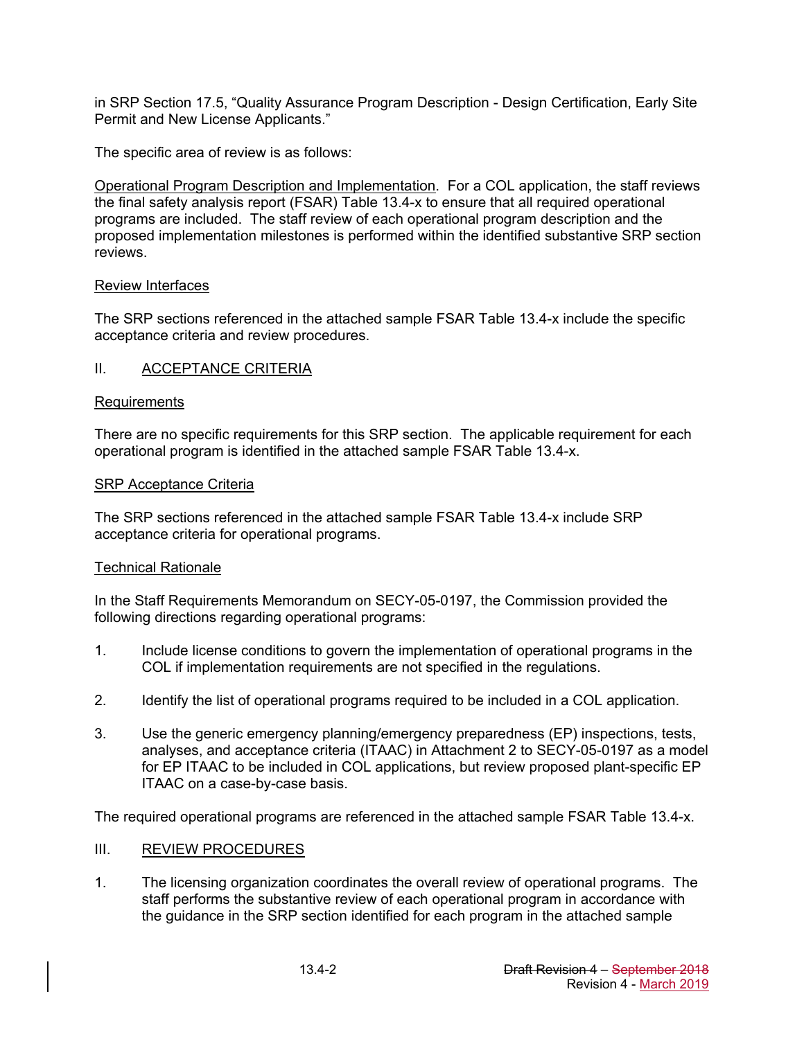in SRP Section 17.5, "Quality Assurance Program Description - Design Certification, Early Site Permit and New License Applicants."

The specific area of review is as follows:

Operational Program Description and Implementation. For a COL application, the staff reviews the final safety analysis report (FSAR) Table 13.4-x to ensure that all required operational programs are included. The staff review of each operational program description and the proposed implementation milestones is performed within the identified substantive SRP section reviews.

### Review Interfaces

The SRP sections referenced in the attached sample FSAR Table 13.4-x include the specific acceptance criteria and review procedures.

### II. ACCEPTANCE CRITERIA

### **Requirements**

There are no specific requirements for this SRP section. The applicable requirement for each operational program is identified in the attached sample FSAR Table 13.4-x.

### SRP Acceptance Criteria

The SRP sections referenced in the attached sample FSAR Table 13.4-x include SRP acceptance criteria for operational programs.

### Technical Rationale

In the Staff Requirements Memorandum on SECY-05-0197, the Commission provided the following directions regarding operational programs:

- 1. Include license conditions to govern the implementation of operational programs in the COL if implementation requirements are not specified in the regulations.
- 2. Identify the list of operational programs required to be included in a COL application.
- 3. Use the generic emergency planning/emergency preparedness (EP) inspections, tests, analyses, and acceptance criteria (ITAAC) in Attachment 2 to SECY-05-0197 as a model for EP ITAAC to be included in COL applications, but review proposed plant-specific EP ITAAC on a case-by-case basis.

The required operational programs are referenced in the attached sample FSAR Table 13.4-x.

### III. REVIEW PROCEDURES

1. The licensing organization coordinates the overall review of operational programs. The staff performs the substantive review of each operational program in accordance with the guidance in the SRP section identified for each program in the attached sample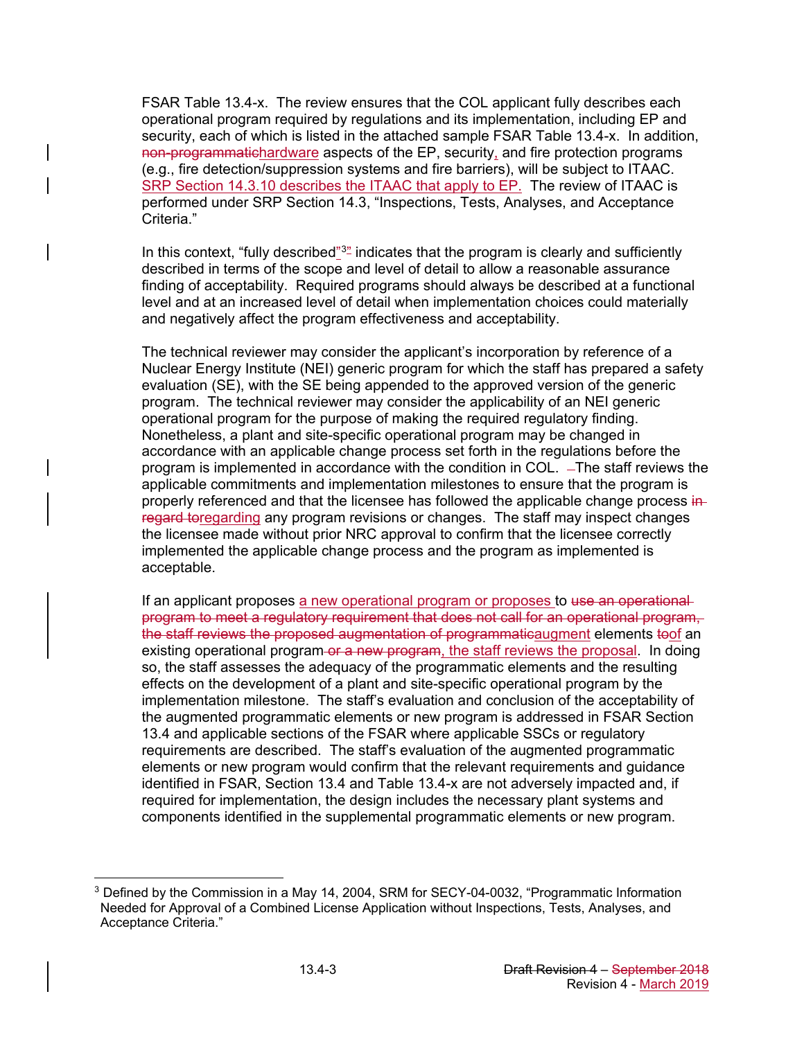FSAR Table 13.4-x. The review ensures that the COL applicant fully describes each operational program required by regulations and its implementation, including EP and security, each of which is listed in the attached sample FSAR Table 13.4-x. In addition, non-programmatichardware aspects of the EP, security, and fire protection programs (e.g., fire detection/suppression systems and fire barriers), will be subject to ITAAC. SRP Section 14.3.10 describes the ITAAC that apply to EP. The review of ITAAC is performed under SRP Section 14.3, "Inspections, Tests, Analyses, and Acceptance Criteria."

In this context, "fully described" $32$  $32$  indicates that the program is clearly and sufficiently described in terms of the scope and level of detail to allow a reasonable assurance finding of acceptability. Required programs should always be described at a functional level and at an increased level of detail when implementation choices could materially and negatively affect the program effectiveness and acceptability.

The technical reviewer may consider the applicant's incorporation by reference of a Nuclear Energy Institute (NEI) generic program for which the staff has prepared a safety evaluation (SE), with the SE being appended to the approved version of the generic program. The technical reviewer may consider the applicability of an NEI generic operational program for the purpose of making the required regulatory finding. Nonetheless, a plant and site-specific operational program may be changed in accordance with an applicable change process set forth in the regulations before the program is implemented in accordance with the condition in COL. - The staff reviews the applicable commitments and implementation milestones to ensure that the program is properly referenced and that the licensee has followed the applicable change process inregard toregarding any program revisions or changes. The staff may inspect changes the licensee made without prior NRC approval to confirm that the licensee correctly implemented the applicable change process and the program as implemented is acceptable.

If an applicant proposes a new operational program or proposes to use an operational program to meet a regulatory requirement that does not call for an operational program, the staff reviews the proposed augmentation of programmaticaugment elements toof an existing operational program or a new program, the staff reviews the proposal. In doing so, the staff assesses the adequacy of the programmatic elements and the resulting effects on the development of a plant and site-specific operational program by the implementation milestone. The staff's evaluation and conclusion of the acceptability of the augmented programmatic elements or new program is addressed in FSAR Section 13.4 and applicable sections of the FSAR where applicable SSCs or regulatory requirements are described. The staff's evaluation of the augmented programmatic elements or new program would confirm that the relevant requirements and guidance identified in FSAR, Section 13.4 and Table 13.4-x are not adversely impacted and, if required for implementation, the design includes the necessary plant systems and components identified in the supplemental programmatic elements or new program.

<span id="page-2-0"></span> $\overline{a}$  $3$  Defined by the Commission in a May 14, 2004, SRM for SECY-04-0032, "Programmatic Information Needed for Approval of a Combined License Application without Inspections, Tests, Analyses, and Acceptance Criteria."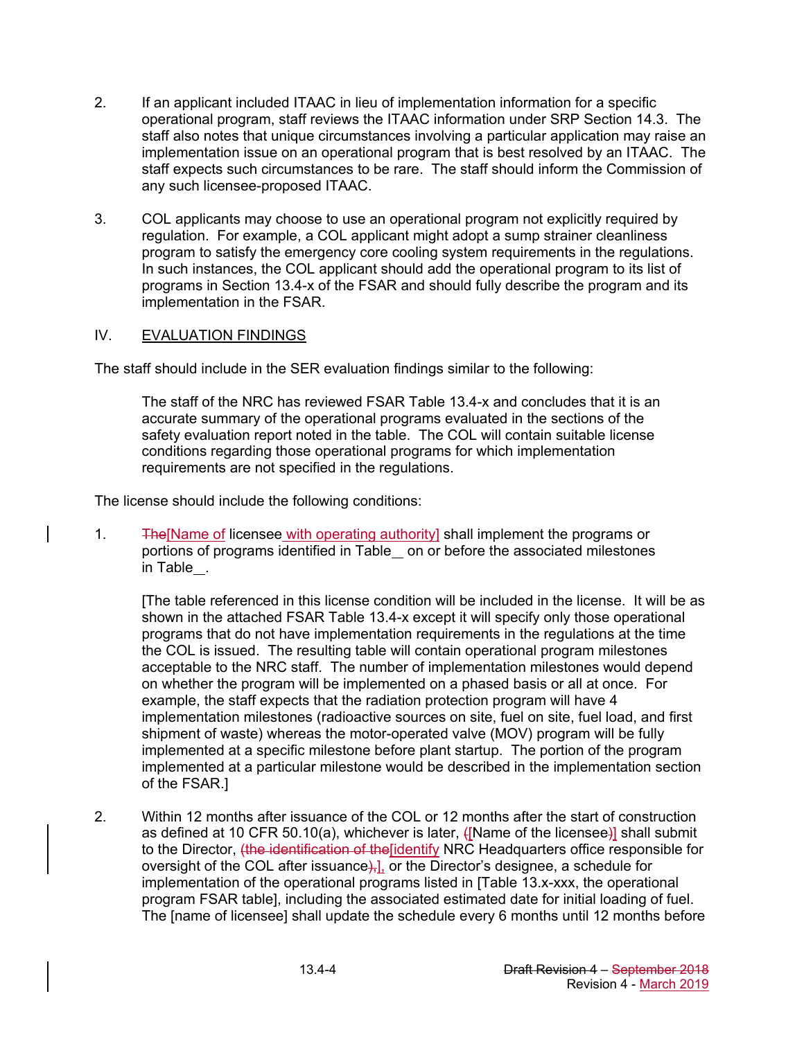- 2. If an applicant included ITAAC in lieu of implementation information for a specific operational program, staff reviews the ITAAC information under SRP Section 14.3. The staff also notes that unique circumstances involving a particular application may raise an implementation issue on an operational program that is best resolved by an ITAAC. The staff expects such circumstances to be rare. The staff should inform the Commission of any such licensee-proposed ITAAC.
- 3. COL applicants may choose to use an operational program not explicitly required by regulation. For example, a COL applicant might adopt a sump strainer cleanliness program to satisfy the emergency core cooling system requirements in the regulations. In such instances, the COL applicant should add the operational program to its list of programs in Section 13.4-x of the FSAR and should fully describe the program and its implementation in the FSAR.

### IV. EVALUATION FINDINGS

The staff should include in the SER evaluation findings similar to the following:

The staff of the NRC has reviewed FSAR Table 13.4-x and concludes that it is an accurate summary of the operational programs evaluated in the sections of the safety evaluation report noted in the table. The COL will contain suitable license conditions regarding those operational programs for which implementation requirements are not specified in the regulations.

The license should include the following conditions:

1. The [Name of licensee with operating authority] shall implement the programs or portions of programs identified in Table on or before the associated milestones in Table .

[The table referenced in this license condition will be included in the license. It will be as shown in the attached FSAR Table 13.4-x except it will specify only those operational programs that do not have implementation requirements in the regulations at the time the COL is issued. The resulting table will contain operational program milestones acceptable to the NRC staff. The number of implementation milestones would depend on whether the program will be implemented on a phased basis or all at once. For example, the staff expects that the radiation protection program will have 4 implementation milestones (radioactive sources on site, fuel on site, fuel load, and first shipment of waste) whereas the motor-operated valve (MOV) program will be fully implemented at a specific milestone before plant startup. The portion of the program implemented at a particular milestone would be described in the implementation section of the FSAR.]

2. Within 12 months after issuance of the COL or 12 months after the start of construction as defined at 10 CFR 50.10(a), whichever is later, ([Name of the licensee)] shall submit to the Director, <del>(the identification of the</del> [identify NRC Headquarters office responsible for oversight of the COL after issuance $\frac{1}{2}$ , or the Director's designee, a schedule for implementation of the operational programs listed in [Table 13.x-xxx, the operational program FSAR table], including the associated estimated date for initial loading of fuel. The [name of licensee] shall update the schedule every 6 months until 12 months before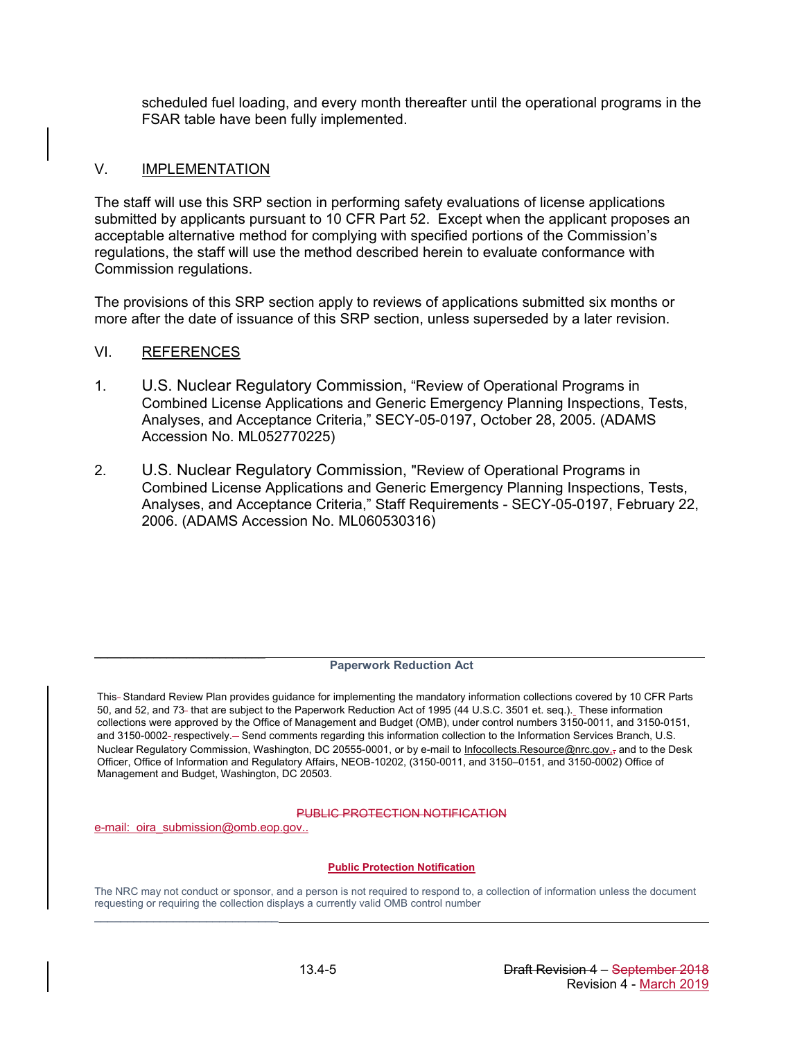scheduled fuel loading, and every month thereafter until the operational programs in the FSAR table have been fully implemented.

### V. IMPLEMENTATION

The staff will use this SRP section in performing safety evaluations of license applications submitted by applicants pursuant to 10 CFR Part 52. Except when the applicant proposes an acceptable alternative method for complying with specified portions of the Commission's regulations, the staff will use the method described herein to evaluate conformance with Commission regulations.

The provisions of this SRP section apply to reviews of applications submitted six months or more after the date of issuance of this SRP section, unless superseded by a later revision.

### VI. REFERENCES

- 1. U.S. Nuclear Regulatory Commission, "Review of Operational Programs in Combined License Applications and Generic Emergency Planning Inspections, Tests, Analyses, and Acceptance Criteria," SECY-05-0197, October 28, 2005. (ADAMS Accession No. ML052770225)
- 2. U.S. Nuclear Regulatory Commission, "Review of Operational Programs in Combined License Applications and Generic Emergency Planning Inspections, Tests, Analyses, and Acceptance Criteria," Staff Requirements - SECY-05-0197, February 22, 2006. (ADAMS Accession No. ML060530316)

#### **Paperwork Reduction Act**

This-Standard Review Plan provides guidance for implementing the mandatory information collections covered by 10 CFR Parts 50, and 52, and 73 that are subject to the Paperwork Reduction Act of 1995 (44 U.S.C. 3501 et. seq.). These information collections were approved by the Office of Management and Budget (OMB), under control numbers 3150-0011, and 3150-0151, and 3150-0002-\_respectively.- Send comments regarding this information collection to the Information Services Branch, U.S. Nuclear Regulatory Commission, Washington, DC 20555-0001, or by e-mail to Infocollects.Resource@nrc.gov.<sub>7</sub> and to the Desk Officer, Office of Information and Regulatory Affairs, NEOB-10202, (3150-0011, and 3150–0151, and 3150-0002) Office of Management and Budget, Washington, DC 20503.

#### PUBLIC PROTECTION NOTIFICATION

e-mail: oira submission@omb.eop.gov..

 $\overline{\phantom{a}}$  , and the set of the set of the set of the set of the set of the set of the set of the set of the set of the set of the set of the set of the set of the set of the set of the set of the set of the set of the s

 $\mathcal{L}_\text{max}$  , we can also the contract of the contract of the contract of the contract of

#### **Public Protection Notification**

The NRC may not conduct or sponsor, and a person is not required to respond to, a collection of information unless the document requesting or requiring the collection displays a currently valid OMB control number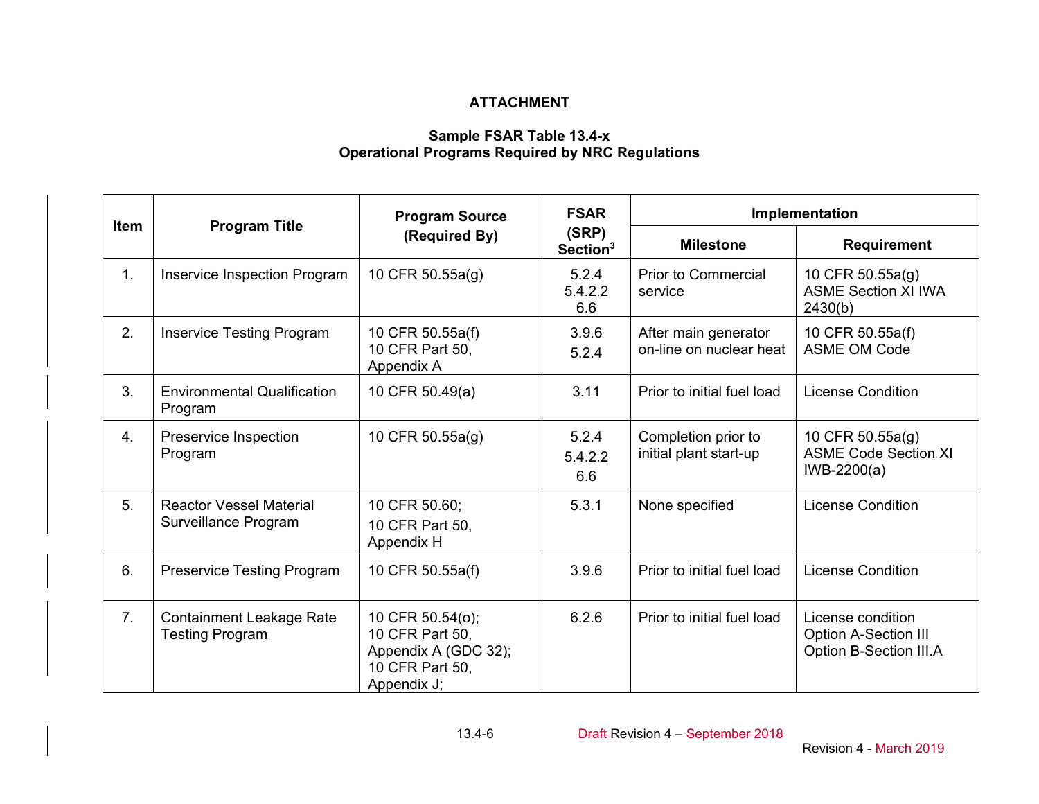# **ATTACHMENT**

## **Sample FSAR Table 13.4-x Operational Programs Required by NRC Regulations**

| <b>Item</b>      |                                                        | <b>Program Source</b>                                                                         | <b>FSAR</b>                   |                                                 | Implementation                                                             |
|------------------|--------------------------------------------------------|-----------------------------------------------------------------------------------------------|-------------------------------|-------------------------------------------------|----------------------------------------------------------------------------|
|                  | <b>Program Title</b>                                   | (Required By)                                                                                 | (SRP)<br>Section <sup>3</sup> | <b>Milestone</b>                                | Requirement                                                                |
| 1 <sub>1</sub>   | Inservice Inspection Program                           | 10 CFR 50.55a(g)                                                                              | 5.2.4<br>5.4.2.2<br>6.6       | <b>Prior to Commercial</b><br>service           | 10 CFR 50.55a(g)<br><b>ASME Section XI IWA</b><br>2430(b)                  |
| 2.               | <b>Inservice Testing Program</b>                       | 10 CFR 50.55a(f)<br>10 CFR Part 50,<br>Appendix A                                             | 3.9.6<br>5.2.4                | After main generator<br>on-line on nuclear heat | 10 CFR 50.55a(f)<br><b>ASME OM Code</b>                                    |
| 3.               | <b>Environmental Qualification</b><br>Program          | 10 CFR 50.49(a)                                                                               | 3.11                          | Prior to initial fuel load                      | <b>License Condition</b>                                                   |
| $\overline{4}$ . | Preservice Inspection<br>Program                       | 10 CFR 50.55a(g)                                                                              | 5.2.4<br>5.4.2.2<br>6.6       | Completion prior to<br>initial plant start-up   | 10 CFR 50.55a(g)<br><b>ASME Code Section XI</b><br>IWB-2200(a)             |
| 5.               | <b>Reactor Vessel Material</b><br>Surveillance Program | 10 CFR 50.60;<br>10 CFR Part 50,<br>Appendix H                                                | 5.3.1                         | None specified                                  | <b>License Condition</b>                                                   |
| 6.               | <b>Preservice Testing Program</b>                      | 10 CFR 50.55a(f)                                                                              | 3.9.6                         | Prior to initial fuel load                      | <b>License Condition</b>                                                   |
| 7.               | Containment Leakage Rate<br><b>Testing Program</b>     | 10 CFR 50.54(o);<br>10 CFR Part 50,<br>Appendix A (GDC 32);<br>10 CFR Part 50,<br>Appendix J; | 6.2.6                         | Prior to initial fuel load                      | License condition<br><b>Option A-Section III</b><br>Option B-Section III.A |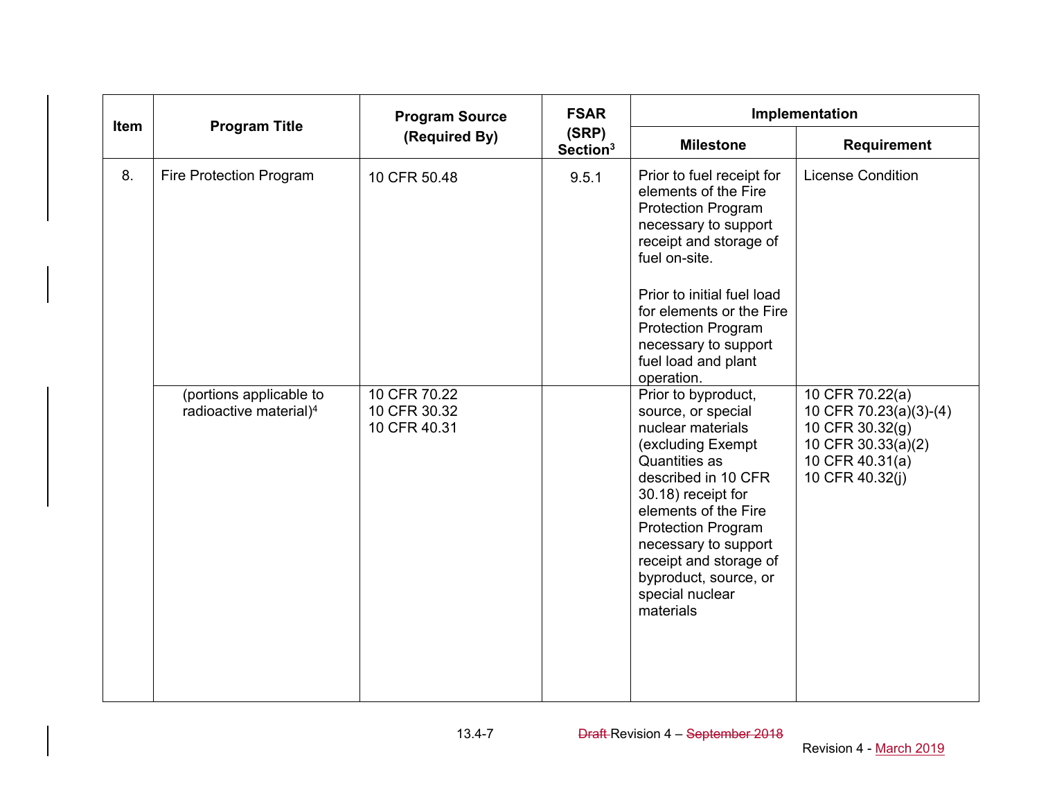| <b>Item</b> |                                                               | <b>Program Source</b>                        | <b>FSAR</b>                   | Implementation                                                                                                                                                                                                                                                                                                    |                                                                                                                          |
|-------------|---------------------------------------------------------------|----------------------------------------------|-------------------------------|-------------------------------------------------------------------------------------------------------------------------------------------------------------------------------------------------------------------------------------------------------------------------------------------------------------------|--------------------------------------------------------------------------------------------------------------------------|
|             | <b>Program Title</b>                                          | (Required By)                                | (SRP)<br>Section <sup>3</sup> | <b>Milestone</b>                                                                                                                                                                                                                                                                                                  | <b>Requirement</b>                                                                                                       |
| 8.          | <b>Fire Protection Program</b>                                | 10 CFR 50.48                                 | 9.5.1                         | Prior to fuel receipt for<br>elements of the Fire<br><b>Protection Program</b><br>necessary to support<br>receipt and storage of<br>fuel on-site.                                                                                                                                                                 | <b>License Condition</b>                                                                                                 |
|             |                                                               |                                              |                               | Prior to initial fuel load<br>for elements or the Fire<br><b>Protection Program</b><br>necessary to support<br>fuel load and plant<br>operation.                                                                                                                                                                  |                                                                                                                          |
|             | (portions applicable to<br>radioactive material) <sup>4</sup> | 10 CFR 70.22<br>10 CFR 30.32<br>10 CFR 40.31 |                               | Prior to byproduct,<br>source, or special<br>nuclear materials<br>(excluding Exempt<br>Quantities as<br>described in 10 CFR<br>30.18) receipt for<br>elements of the Fire<br><b>Protection Program</b><br>necessary to support<br>receipt and storage of<br>byproduct, source, or<br>special nuclear<br>materials | 10 CFR 70.22(a)<br>10 CFR 70.23(a)(3)-(4)<br>10 CFR 30.32(g)<br>10 CFR 30.33(a)(2)<br>10 CFR 40.31(a)<br>10 CFR 40.32(j) |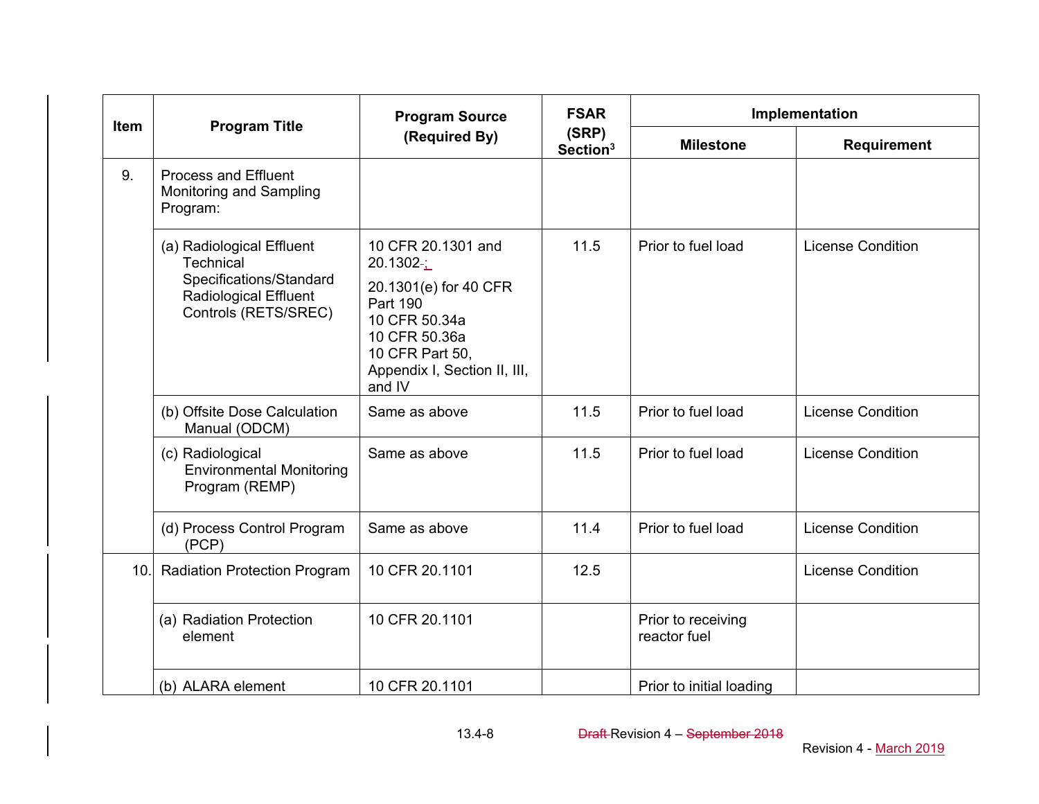| <b>Item</b> |                                                                                                                           | <b>Program Source</b>                                                                                                                                                          | <b>FSAR</b>                   |                                    | Implementation           |
|-------------|---------------------------------------------------------------------------------------------------------------------------|--------------------------------------------------------------------------------------------------------------------------------------------------------------------------------|-------------------------------|------------------------------------|--------------------------|
|             | <b>Program Title</b>                                                                                                      | (Required By)                                                                                                                                                                  | (SRP)<br>Section <sup>3</sup> | <b>Milestone</b>                   | <b>Requirement</b>       |
| 9.          | <b>Process and Effluent</b><br>Monitoring and Sampling<br>Program:                                                        |                                                                                                                                                                                |                               |                                    |                          |
|             | (a) Radiological Effluent<br>Technical<br>Specifications/Standard<br><b>Radiological Effluent</b><br>Controls (RETS/SREC) | 10 CFR 20.1301 and<br>$20.1302 - 1$<br>20.1301(e) for 40 CFR<br><b>Part 190</b><br>10 CFR 50.34a<br>10 CFR 50.36a<br>10 CFR Part 50,<br>Appendix I, Section II, III,<br>and IV | 11.5                          | Prior to fuel load                 | <b>License Condition</b> |
|             | (b) Offsite Dose Calculation<br>Manual (ODCM)                                                                             | Same as above                                                                                                                                                                  | 11.5                          | Prior to fuel load                 | <b>License Condition</b> |
|             | (c) Radiological<br><b>Environmental Monitoring</b><br>Program (REMP)                                                     | Same as above                                                                                                                                                                  | 11.5                          | Prior to fuel load                 | <b>License Condition</b> |
|             | (d) Process Control Program<br>(PCP)                                                                                      | Same as above                                                                                                                                                                  | 11.4                          | Prior to fuel load                 | <b>License Condition</b> |
| 10.1        | <b>Radiation Protection Program</b>                                                                                       | 10 CFR 20.1101                                                                                                                                                                 | 12.5                          |                                    | <b>License Condition</b> |
|             | (a) Radiation Protection<br>element                                                                                       | 10 CFR 20.1101                                                                                                                                                                 |                               | Prior to receiving<br>reactor fuel |                          |
|             | (b) ALARA element                                                                                                         | 10 CFR 20.1101                                                                                                                                                                 |                               | Prior to initial loading           |                          |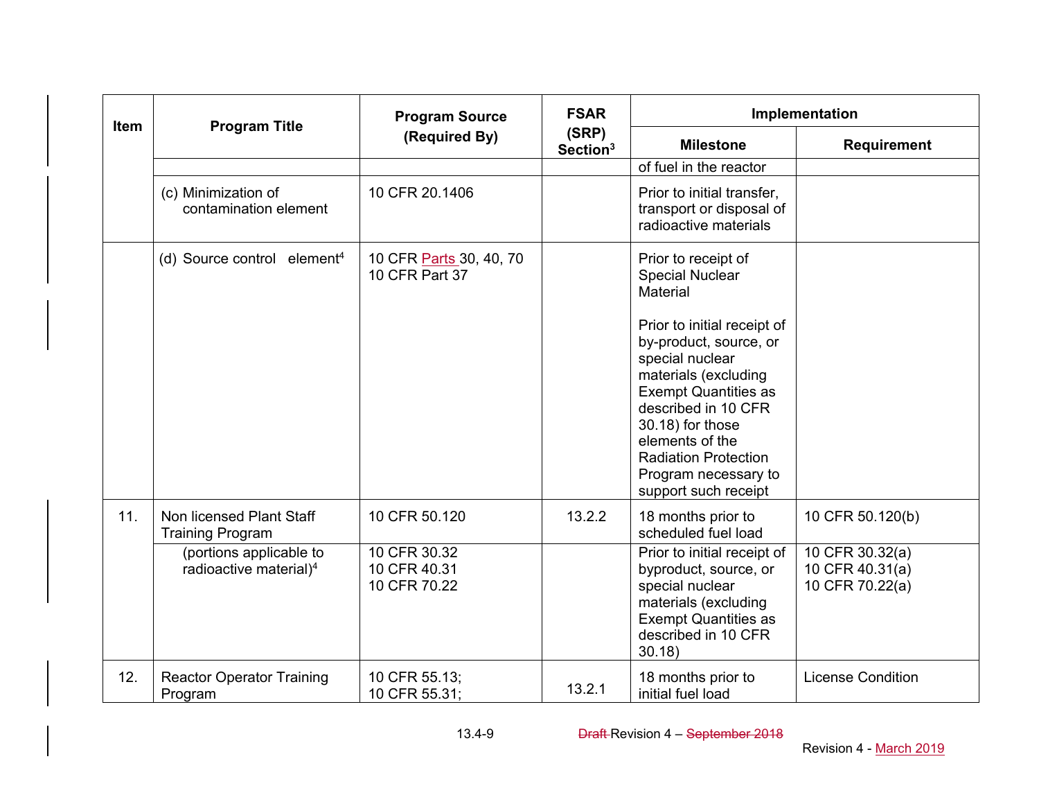| Item | <b>Program Title</b>                                          | <b>Program Source</b>                        |                               |                                                                                                                                                                                                                                                                              | Implementation                                        |
|------|---------------------------------------------------------------|----------------------------------------------|-------------------------------|------------------------------------------------------------------------------------------------------------------------------------------------------------------------------------------------------------------------------------------------------------------------------|-------------------------------------------------------|
|      |                                                               | (Required By)                                | (SRP)<br>Section <sup>3</sup> | <b>Milestone</b>                                                                                                                                                                                                                                                             | <b>Requirement</b>                                    |
|      |                                                               |                                              |                               | of fuel in the reactor                                                                                                                                                                                                                                                       |                                                       |
|      | (c) Minimization of<br>contamination element                  | 10 CFR 20.1406                               |                               | Prior to initial transfer,<br>transport or disposal of<br>radioactive materials                                                                                                                                                                                              |                                                       |
|      | (d) Source control element <sup>4</sup>                       | 10 CFR Parts 30, 40, 70<br>10 CFR Part 37    |                               | Prior to receipt of<br><b>Special Nuclear</b><br><b>Material</b>                                                                                                                                                                                                             |                                                       |
|      |                                                               |                                              |                               | Prior to initial receipt of<br>by-product, source, or<br>special nuclear<br>materials (excluding<br><b>Exempt Quantities as</b><br>described in 10 CFR<br>30.18) for those<br>elements of the<br><b>Radiation Protection</b><br>Program necessary to<br>support such receipt |                                                       |
| 11.  | Non licensed Plant Staff<br><b>Training Program</b>           | 10 CFR 50.120                                | 13.2.2                        | 18 months prior to<br>scheduled fuel load                                                                                                                                                                                                                                    | 10 CFR 50.120(b)                                      |
|      | (portions applicable to<br>radioactive material) <sup>4</sup> | 10 CFR 30.32<br>10 CFR 40.31<br>10 CFR 70.22 |                               | Prior to initial receipt of<br>byproduct, source, or<br>special nuclear<br>materials (excluding<br><b>Exempt Quantities as</b><br>described in 10 CFR<br>30.18                                                                                                               | 10 CFR 30.32(a)<br>10 CFR 40.31(a)<br>10 CFR 70.22(a) |
| 12.  | <b>Reactor Operator Training</b><br>Program                   | 10 CFR 55.13;<br>10 CFR 55.31;               | 13.2.1                        | 18 months prior to<br>initial fuel load                                                                                                                                                                                                                                      | <b>License Condition</b>                              |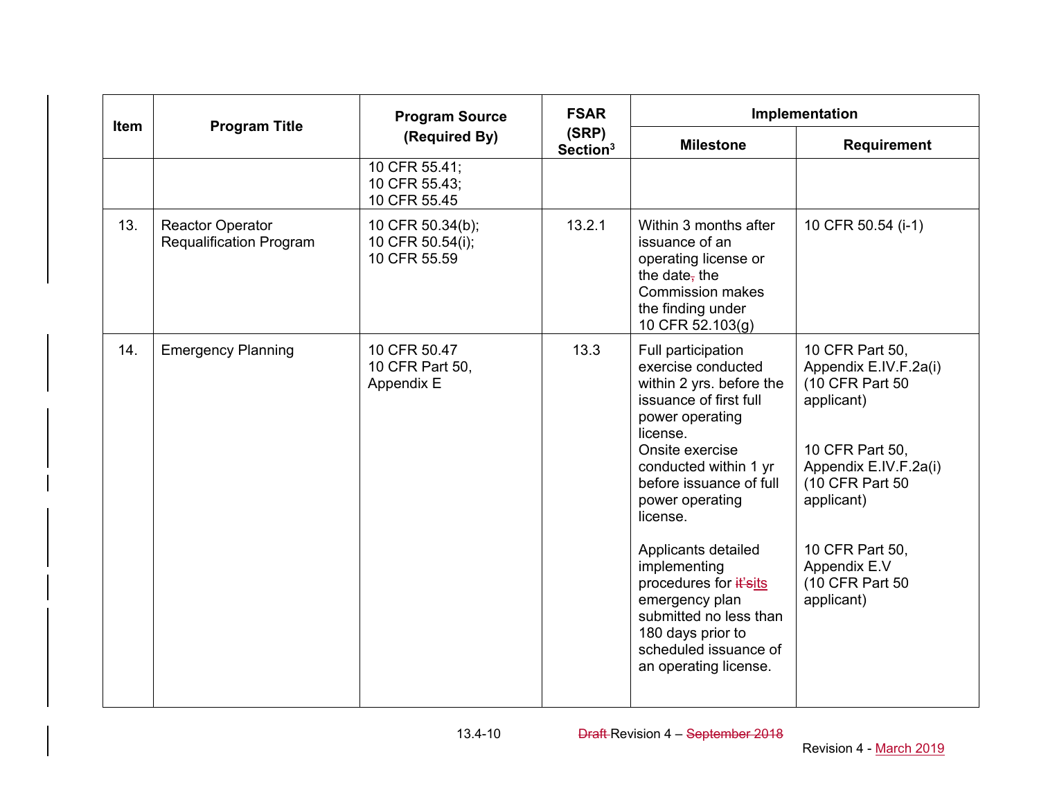| Item | <b>Program Title</b>                                      | <b>Program Source</b>                                | <b>FSAR</b>                   | Implementation                                                                                                                                                                                                                                                                                                                                                                                                          |                                                                                                                                                                                                                            |
|------|-----------------------------------------------------------|------------------------------------------------------|-------------------------------|-------------------------------------------------------------------------------------------------------------------------------------------------------------------------------------------------------------------------------------------------------------------------------------------------------------------------------------------------------------------------------------------------------------------------|----------------------------------------------------------------------------------------------------------------------------------------------------------------------------------------------------------------------------|
|      |                                                           | (Required By)                                        | (SRP)<br>Section <sup>3</sup> | <b>Milestone</b>                                                                                                                                                                                                                                                                                                                                                                                                        | <b>Requirement</b>                                                                                                                                                                                                         |
|      |                                                           | 10 CFR 55.41;<br>10 CFR 55.43;<br>10 CFR 55.45       |                               |                                                                                                                                                                                                                                                                                                                                                                                                                         |                                                                                                                                                                                                                            |
| 13.  | <b>Reactor Operator</b><br><b>Requalification Program</b> | 10 CFR 50.34(b);<br>10 CFR 50.54(i);<br>10 CFR 55.59 | 13.2.1                        | Within 3 months after<br>issuance of an<br>operating license or<br>the date <sub>r</sub> the<br><b>Commission makes</b><br>the finding under<br>10 CFR 52.103(g)                                                                                                                                                                                                                                                        | 10 CFR 50.54 (i-1)                                                                                                                                                                                                         |
| 14.  | <b>Emergency Planning</b>                                 | 10 CFR 50.47<br>10 CFR Part 50,<br>Appendix E        | 13.3                          | Full participation<br>exercise conducted<br>within 2 yrs. before the<br>issuance of first full<br>power operating<br>license.<br>Onsite exercise<br>conducted within 1 yr<br>before issuance of full<br>power operating<br>license.<br>Applicants detailed<br>implementing<br>procedures for it'sits<br>emergency plan<br>submitted no less than<br>180 days prior to<br>scheduled issuance of<br>an operating license. | 10 CFR Part 50,<br>Appendix E.IV.F.2a(i)<br>(10 CFR Part 50<br>applicant)<br>10 CFR Part 50,<br>Appendix E.IV.F.2a(i)<br>(10 CFR Part 50<br>applicant)<br>10 CFR Part 50,<br>Appendix E.V<br>(10 CFR Part 50<br>applicant) |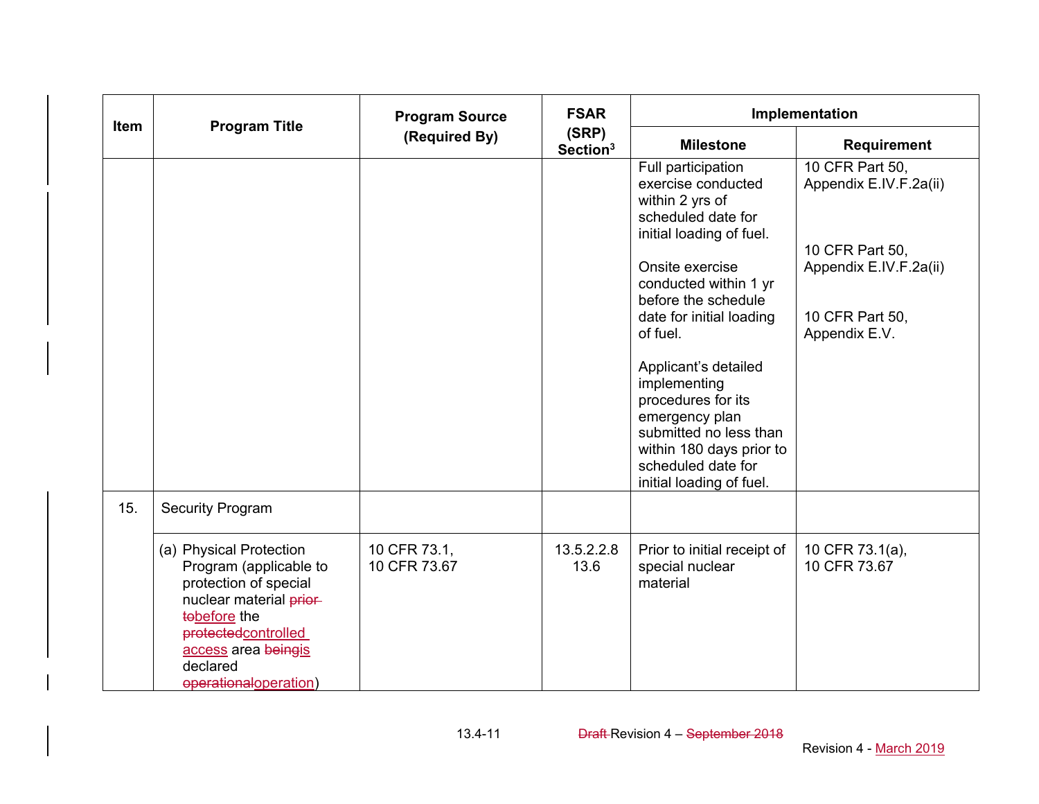| <b>Item</b> | <b>Program Title</b>                                                                                                                                                                                     | <b>Program Source</b>        | <b>FSAR</b>                   | Implementation                                                                                                                                                                                                                                                                                                                                                                       |                                                                                                                            |
|-------------|----------------------------------------------------------------------------------------------------------------------------------------------------------------------------------------------------------|------------------------------|-------------------------------|--------------------------------------------------------------------------------------------------------------------------------------------------------------------------------------------------------------------------------------------------------------------------------------------------------------------------------------------------------------------------------------|----------------------------------------------------------------------------------------------------------------------------|
|             |                                                                                                                                                                                                          | (Required By)                | (SRP)<br>Section <sup>3</sup> | <b>Milestone</b>                                                                                                                                                                                                                                                                                                                                                                     | <b>Requirement</b>                                                                                                         |
|             |                                                                                                                                                                                                          |                              |                               | Full participation<br>exercise conducted<br>within 2 yrs of<br>scheduled date for<br>initial loading of fuel.<br>Onsite exercise<br>conducted within 1 yr<br>before the schedule<br>date for initial loading<br>of fuel.<br>Applicant's detailed<br>implementing<br>procedures for its<br>emergency plan<br>submitted no less than<br>within 180 days prior to<br>scheduled date for | 10 CFR Part 50,<br>Appendix E.IV.F.2a(ii)<br>10 CFR Part 50,<br>Appendix E.IV.F.2a(ii)<br>10 CFR Part 50,<br>Appendix E.V. |
| 15.         | <b>Security Program</b>                                                                                                                                                                                  |                              |                               | initial loading of fuel.                                                                                                                                                                                                                                                                                                                                                             |                                                                                                                            |
|             | (a) Physical Protection<br>Program (applicable to<br>protection of special<br>nuclear material prior-<br>tobefore the<br>protectedcontrolled<br>access area beingis<br>declared<br>eperationaloperation) | 10 CFR 73.1,<br>10 CFR 73.67 | 13.5.2.2.8<br>13.6            | Prior to initial receipt of<br>special nuclear<br>material                                                                                                                                                                                                                                                                                                                           | 10 CFR 73.1(a),<br>10 CFR 73.67                                                                                            |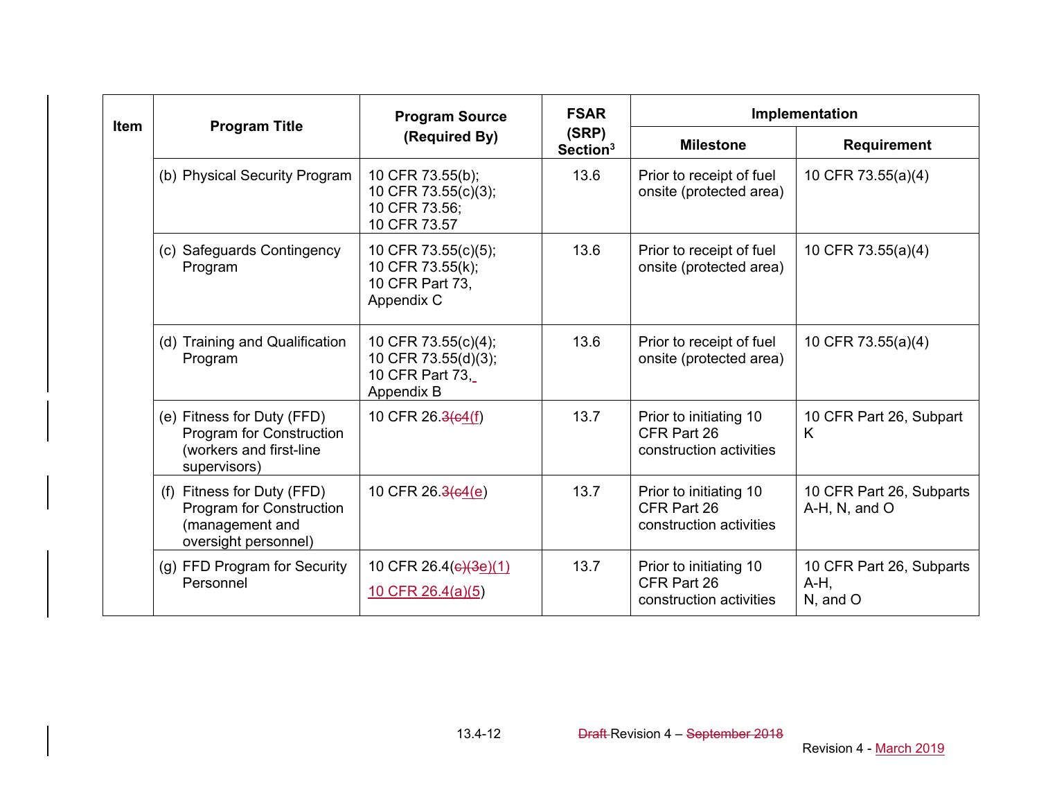|             |                                                                                                   | <b>Program Source</b>                                                       | <b>FSAR</b>                   |                                                                  | Implementation                                  |
|-------------|---------------------------------------------------------------------------------------------------|-----------------------------------------------------------------------------|-------------------------------|------------------------------------------------------------------|-------------------------------------------------|
| <b>Item</b> | <b>Program Title</b>                                                                              | (Required By)                                                               | (SRP)<br>Section <sup>3</sup> | <b>Milestone</b>                                                 | Requirement                                     |
|             | (b) Physical Security Program                                                                     | 10 CFR 73.55(b);<br>10 CFR 73.55(c)(3);<br>10 CFR 73.56:<br>10 CFR 73.57    | 13.6                          | Prior to receipt of fuel<br>onsite (protected area)              | 10 CFR 73.55(a)(4)                              |
|             | (c) Safeguards Contingency<br>Program                                                             | 10 CFR 73.55(c)(5);<br>10 CFR 73.55(k);<br>10 CFR Part 73,<br>Appendix C    | 13.6                          | Prior to receipt of fuel<br>onsite (protected area)              | 10 CFR 73.55(a)(4)                              |
|             | (d) Training and Qualification<br>Program                                                         | 10 CFR 73.55(c)(4);<br>10 CFR 73.55(d)(3);<br>10 CFR Part 73,<br>Appendix B | 13.6                          | Prior to receipt of fuel<br>onsite (protected area)              | 10 CFR 73.55(a)(4)                              |
|             | (e) Fitness for Duty (FFD)<br>Program for Construction<br>(workers and first-line<br>supervisors) | 10 CFR 26.3(c4(f)                                                           | 13.7                          | Prior to initiating 10<br>CFR Part 26<br>construction activities | 10 CFR Part 26, Subpart<br>K                    |
|             | (f) Fitness for Duty (FFD)<br>Program for Construction<br>(management and<br>oversight personnel) | 10 CFR 26.3(c4(e)                                                           | 13.7                          | Prior to initiating 10<br>CFR Part 26<br>construction activities | 10 CFR Part 26, Subparts<br>A-H, N, and O       |
|             | (g) FFD Program for Security<br>Personnel                                                         | 10 CFR 26.4(e)(3e)(1)<br>10 CFR 26.4(a)(5)                                  | 13.7                          | Prior to initiating 10<br>CFR Part 26<br>construction activities | 10 CFR Part 26, Subparts<br>$A-H$ ,<br>N, and O |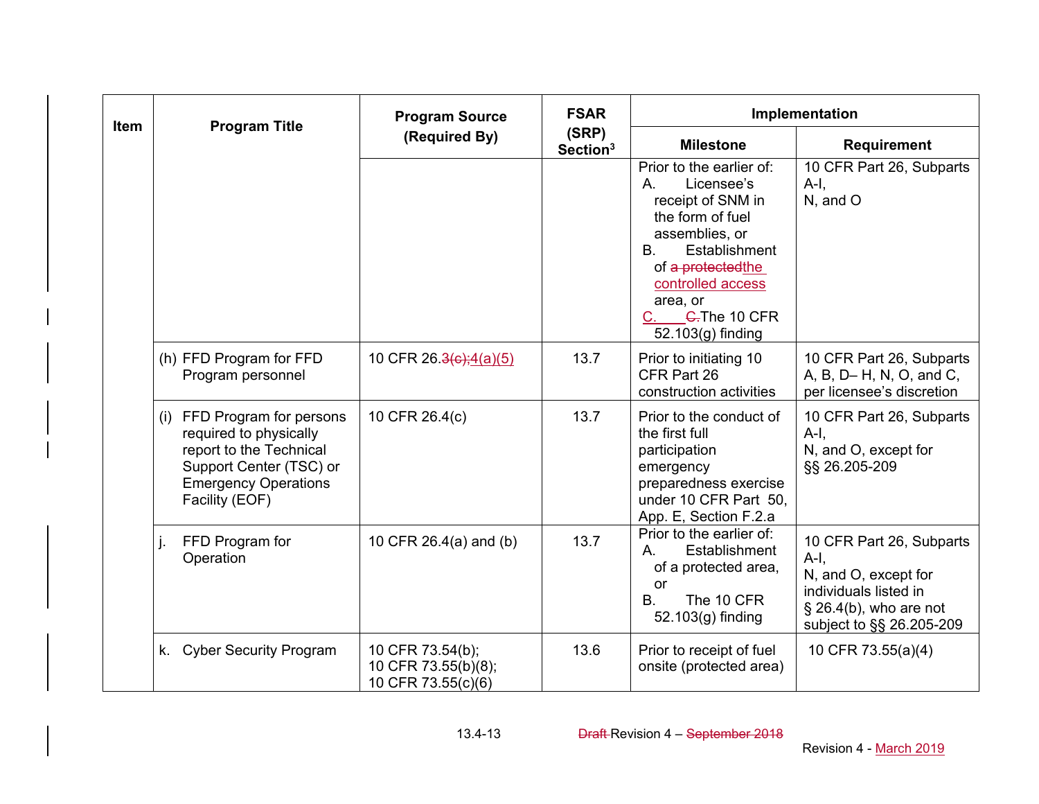| <b>Item</b> | <b>Program Title</b>                                                                                                                                         | <b>Program Source</b>                                         | <b>FSAR</b>                   |                                                                                                                                                                                                                                        | Implementation                                                                                                                              |
|-------------|--------------------------------------------------------------------------------------------------------------------------------------------------------------|---------------------------------------------------------------|-------------------------------|----------------------------------------------------------------------------------------------------------------------------------------------------------------------------------------------------------------------------------------|---------------------------------------------------------------------------------------------------------------------------------------------|
|             |                                                                                                                                                              | (Required By)                                                 | (SRP)<br>Section <sup>3</sup> | <b>Milestone</b>                                                                                                                                                                                                                       | <b>Requirement</b>                                                                                                                          |
|             |                                                                                                                                                              |                                                               |                               | Prior to the earlier of:<br>Licensee's<br>Α.<br>receipt of SNM in<br>the form of fuel<br>assemblies, or<br>Establishment<br>B.<br>of a protected the<br>controlled access<br>area, or<br><del>C.</del> The 10 CFR<br>52.103(g) finding | 10 CFR Part 26, Subparts<br>$A-I$ ,<br>N, and O                                                                                             |
|             | (h) FFD Program for FFD<br>Program personnel                                                                                                                 | 10 CFR 26.3(c);4(a)(5)                                        | 13.7                          | Prior to initiating 10<br>CFR Part 26<br>construction activities                                                                                                                                                                       | 10 CFR Part 26, Subparts<br>A, B, D- H, N, O, and C,<br>per licensee's discretion                                                           |
|             | (i) FFD Program for persons<br>required to physically<br>report to the Technical<br>Support Center (TSC) or<br><b>Emergency Operations</b><br>Facility (EOF) | 10 CFR 26.4(c)                                                | 13.7                          | Prior to the conduct of<br>the first full<br>participation<br>emergency<br>preparedness exercise<br>under 10 CFR Part 50,<br>App. E, Section F.2.a                                                                                     | 10 CFR Part 26, Subparts<br>$A-I$ ,<br>N, and O, except for<br>§§ 26.205-209                                                                |
|             | FFD Program for<br>Operation                                                                                                                                 | 10 CFR 26.4(a) and (b)                                        | 13.7                          | Prior to the earlier of:<br>Establishment<br>Α.<br>of a protected area,<br>or<br>B.<br>The 10 CFR<br>52.103(g) finding                                                                                                                 | 10 CFR Part 26, Subparts<br>$A-I$<br>N, and O, except for<br>individuals listed in<br>$\S$ 26.4(b), who are not<br>subject to §§ 26.205-209 |
|             | k. Cyber Security Program                                                                                                                                    | 10 CFR 73.54(b);<br>10 CFR 73.55(b)(8);<br>10 CFR 73.55(c)(6) | 13.6                          | Prior to receipt of fuel<br>onsite (protected area)                                                                                                                                                                                    | 10 CFR 73.55(a)(4)                                                                                                                          |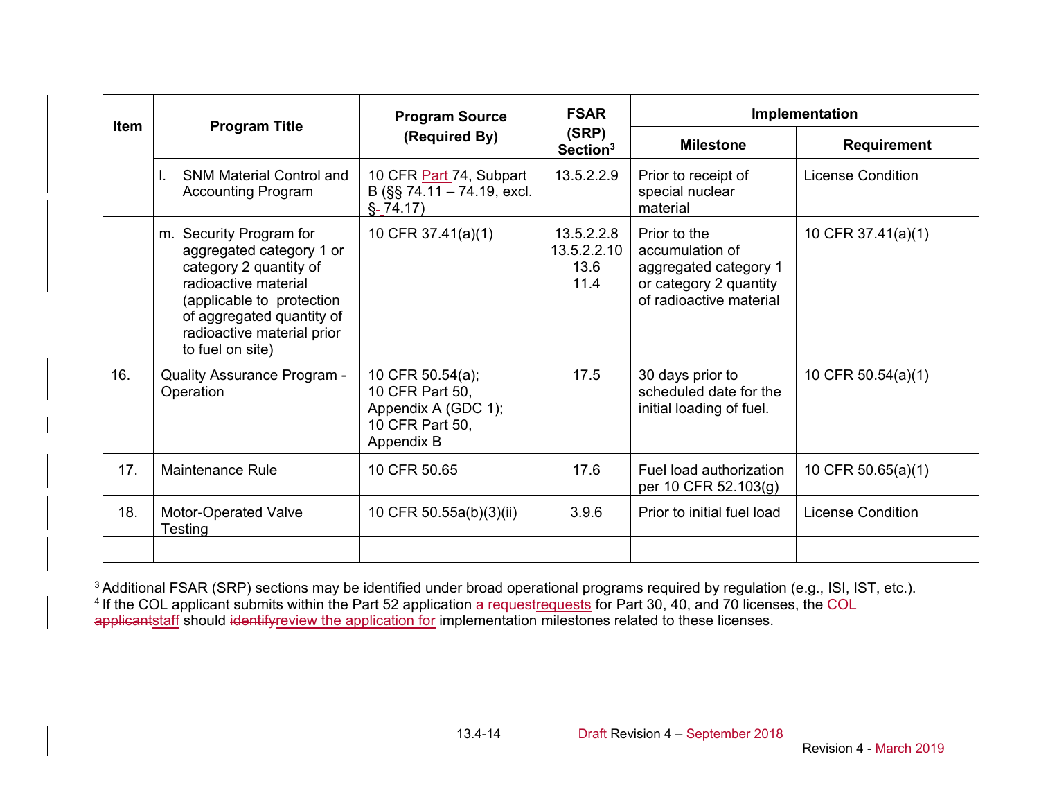| <b>Item</b> |                                                                                                                                                                                                                   | <b>Program Source</b>                                                                       | <b>FSAR</b>                               | Implementation                                                                                                |                                                                                                                                                  |
|-------------|-------------------------------------------------------------------------------------------------------------------------------------------------------------------------------------------------------------------|---------------------------------------------------------------------------------------------|-------------------------------------------|---------------------------------------------------------------------------------------------------------------|--------------------------------------------------------------------------------------------------------------------------------------------------|
|             | <b>Program Title</b>                                                                                                                                                                                              | (Required By)                                                                               | (SRP)<br>Section <sup>3</sup>             | <b>Milestone</b>                                                                                              | <b>Requirement</b><br><b>License Condition</b><br>10 CFR 37.41(a)(1)<br>10 CFR $50.54(a)(1)$<br>10 CFR $50.65(a)(1)$<br><b>License Condition</b> |
|             | <b>SNM Material Control and</b><br>L.<br><b>Accounting Program</b>                                                                                                                                                | 10 CFR Part 74, Subpart<br>B (§§ 74.11 - 74.19, excl.<br>$\S - 74.17$                       | 13.5.2.2.9                                | Prior to receipt of<br>special nuclear<br>material                                                            |                                                                                                                                                  |
|             | m. Security Program for<br>aggregated category 1 or<br>category 2 quantity of<br>radioactive material<br>(applicable to protection<br>of aggregated quantity of<br>radioactive material prior<br>to fuel on site) | 10 CFR 37.41(a)(1)                                                                          | 13.5.2.2.8<br>13.5.2.2.10<br>13.6<br>11.4 | Prior to the<br>accumulation of<br>aggregated category 1<br>or category 2 quantity<br>of radioactive material |                                                                                                                                                  |
| 16.         | <b>Quality Assurance Program -</b><br>Operation                                                                                                                                                                   | 10 CFR 50.54(a);<br>10 CFR Part 50,<br>Appendix A (GDC 1);<br>10 CFR Part 50,<br>Appendix B | 17.5                                      | 30 days prior to<br>scheduled date for the<br>initial loading of fuel.                                        |                                                                                                                                                  |
| 17.         | Maintenance Rule                                                                                                                                                                                                  | 10 CFR 50.65                                                                                | 17.6                                      | Fuel load authorization<br>per 10 CFR 52.103(g)                                                               |                                                                                                                                                  |
| 18.         | Motor-Operated Valve<br>Testing                                                                                                                                                                                   | 10 CFR 50.55a(b)(3)(ii)                                                                     | 3.9.6                                     | Prior to initial fuel load                                                                                    |                                                                                                                                                  |
|             |                                                                                                                                                                                                                   |                                                                                             |                                           |                                                                                                               |                                                                                                                                                  |

<sup>3</sup> Additional FSAR (SRP) sections may be identified under broad operational programs required by regulation (e.g., ISI, IST, etc.). <sup>4</sup> If the COL applicant submits within the Part 52 application a requestrequests for Part 30, 40, and 70 licenses, the COL applicantstaff should identifyreview the application for implementation milestones related to these licenses.